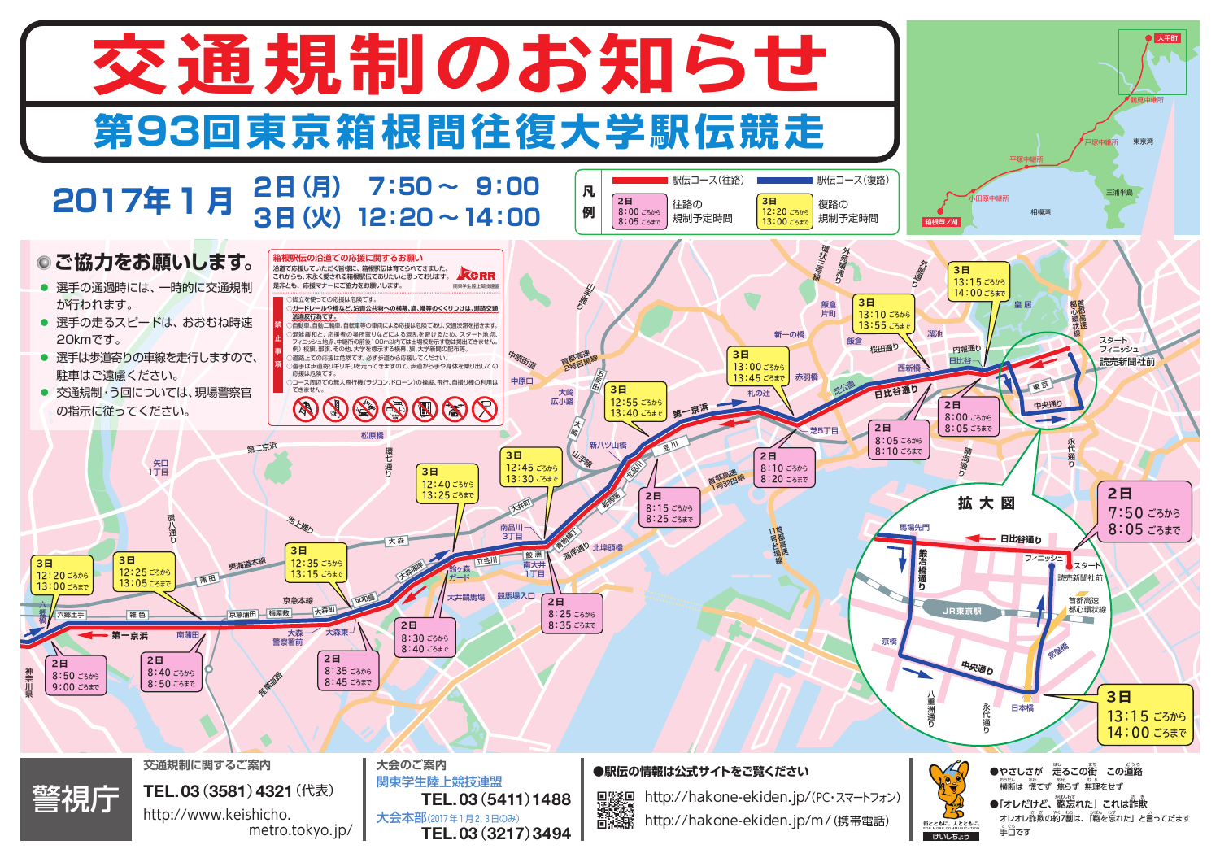